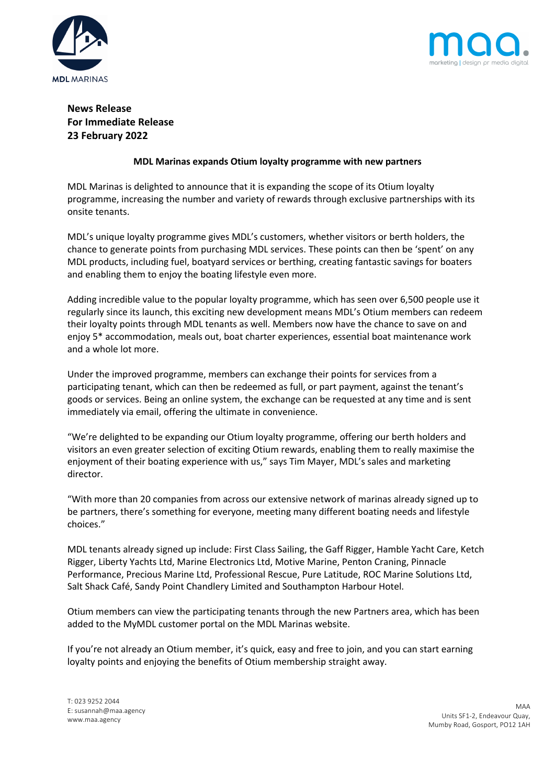



# **News Release For Immediate Release 23 February 2022**

## **MDL Marinas expands Otium loyalty programme with new partners**

MDL Marinas is delighted to announce that it is expanding the scope of its Otium loyalty programme, increasing the number and variety of rewards through exclusive partnerships with its onsite tenants.

MDL's unique loyalty programme gives MDL's customers, whether visitors or berth holders, the chance to generate points from purchasing MDL services. These points can then be 'spent' on any MDL products, including fuel, boatyard services or berthing, creating fantastic savings for boaters and enabling them to enjoy the boating lifestyle even more.

Adding incredible value to the popular loyalty programme, which has seen over 6,500 people use it regularly since its launch, this exciting new development means MDL's Otium members can redeem their loyalty points through MDL tenants as well. Members now have the chance to save on and enjoy 5\* accommodation, meals out, boat charter experiences, essential boat maintenance work and a whole lot more.

Under the improved programme, members can exchange their points for services from a participating tenant, which can then be redeemed as full, or part payment, against the tenant's goods or services. Being an online system, the exchange can be requested at any time and is sent immediately via email, offering the ultimate in convenience.

"We're delighted to be expanding our Otium loyalty programme, offering our berth holders and visitors an even greater selection of exciting Otium rewards, enabling them to really maximise the enjoyment of their boating experience with us," says Tim Mayer, MDL's sales and marketing director.

"With more than 20 companies from across our extensive network of marinas already signed up to be partners, there's something for everyone, meeting many different boating needs and lifestyle choices."

MDL tenants already signed up include: First Class Sailing, the Gaff Rigger, Hamble Yacht Care, Ketch Rigger, Liberty Yachts Ltd, Marine Electronics Ltd, Motive Marine, Penton Craning, Pinnacle Performance, Precious Marine Ltd, Professional Rescue, Pure Latitude, ROC Marine Solutions Ltd, Salt Shack Café, Sandy Point Chandlery Limited and Southampton Harbour Hotel.

Otium members can view the participating tenants through the new Partners area, which has been added to the MyMDL customer portal on the MDL Marinas website.

If you're not already an Otium member, it's quick, easy and free to join, and you can start earning loyalty points and enjoying the benefits of Otium membership straight away.